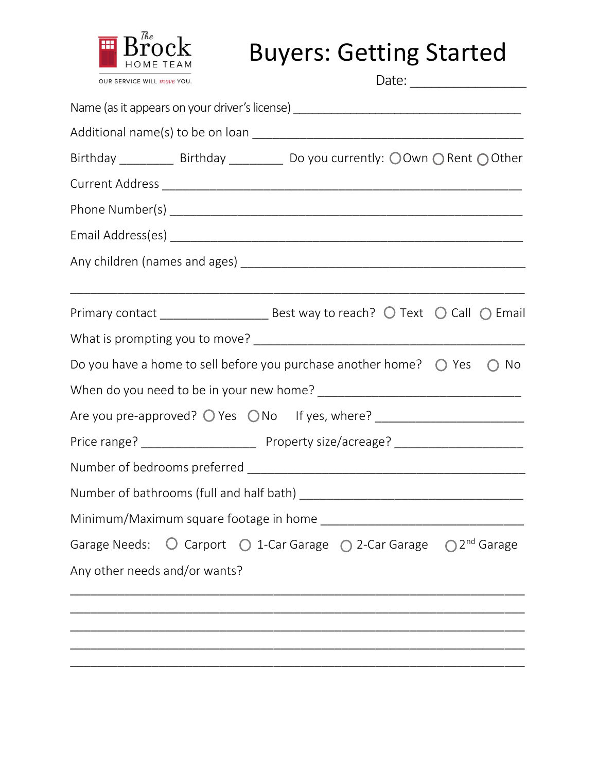

**Brock** Buyers: Getting Started

| OUR SERVICE WILL move YOU.    |                                                                                              |
|-------------------------------|----------------------------------------------------------------------------------------------|
|                               | Name (as it appears on your driver's license) __________________________________             |
|                               |                                                                                              |
|                               | Birthday ____________ Birthday ____________ Do you currently: OOwn O Rent OOther             |
|                               |                                                                                              |
|                               |                                                                                              |
|                               |                                                                                              |
|                               |                                                                                              |
|                               |                                                                                              |
|                               |                                                                                              |
|                               | Do you have a home to sell before you purchase another home? $\bigcirc$ Yes<br>$\bigcirc$ No |
|                               |                                                                                              |
|                               |                                                                                              |
|                               |                                                                                              |
|                               |                                                                                              |
|                               |                                                                                              |
|                               |                                                                                              |
|                               | Garage Needs: ○ Carport ○ 1-Car Garage ○ 2-Car Garage ○ 2 <sup>nd</sup> Garage               |
| Any other needs and/or wants? |                                                                                              |
|                               |                                                                                              |
|                               |                                                                                              |
|                               |                                                                                              |